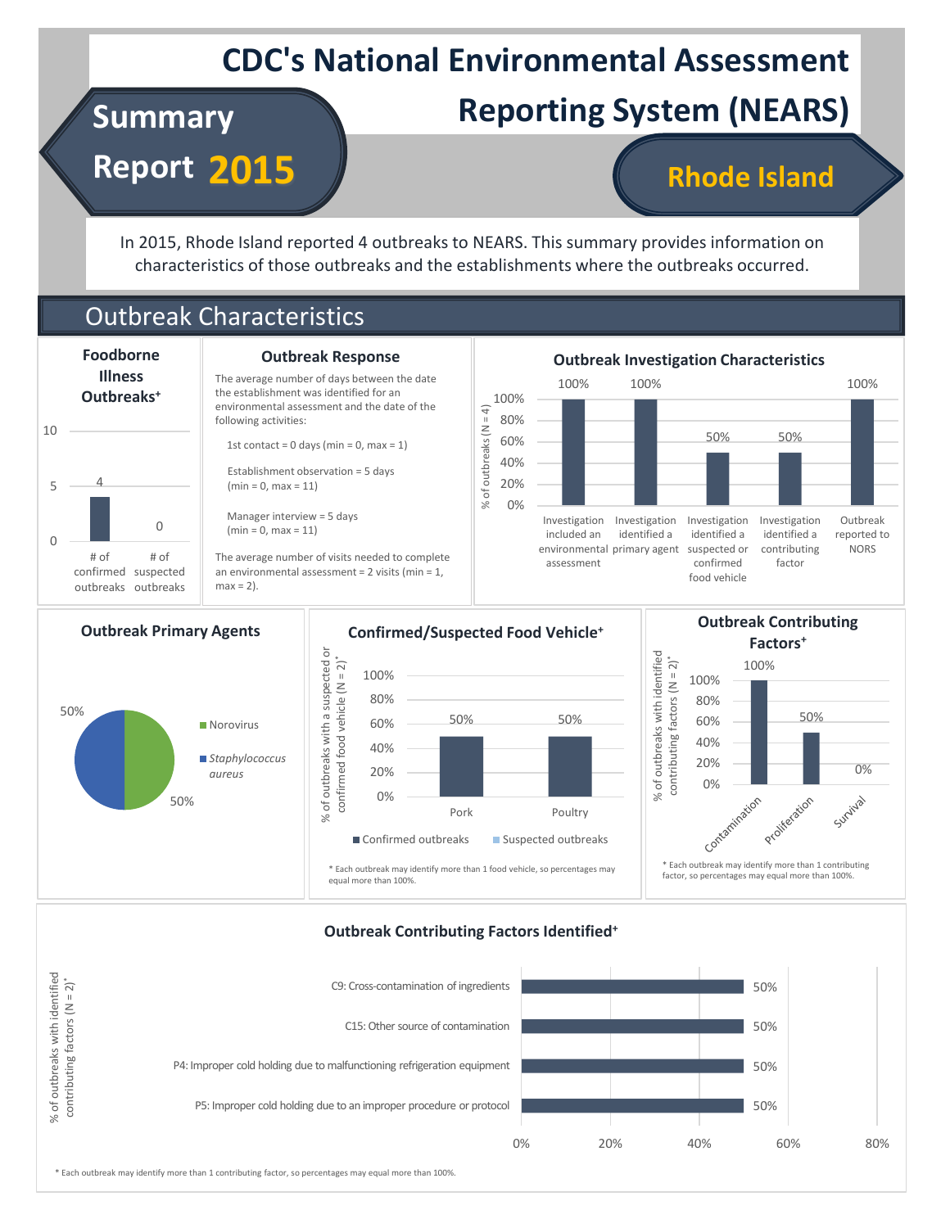## **CDC's National Environmental Assessment**

# **Summary Reporting System (NEARS)**

**Report 2015**

### **Rhode Island**

In 2015, Rhode Island reported 4 outbreaks to NEARS. This summary provides information on characteristics of those outbreaks and the establishments where the outbreaks occurred.

### Outbreak Characteristics



#### **Outbreak Response**

The average number of days between the date the establishment was identified for an environmental assessment and the date of the 1st contact =  $0$  days (min =  $0$ , max =  $1$ )

Establishment observation = 5 days

The average number of visits needed to complete an environmental assessment = 2 visits (min = 1,





#### **Outbreak Contributing Factors Identified<sup>+</sup>**



\* Each outbreak may identify more than 1 contributing factor, so percentages may equal more than 100%.